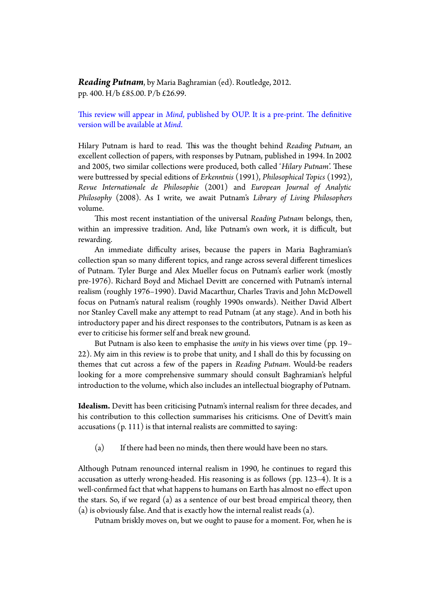*Reading Putnam*, by Maria Baghramian (ed). Routledge, 2012. pp. 400. H/b £85.00. P/b £26.99.

## This review will appear in *Mind*, published by OUP. It is a pre-print. The definitive version will be available at *Mind*.

Hilary Putnam is hard to read. Tis was the thought behind *Reading Putnam*, an excellent collection of papers, with responses by Putnam, published in 1994. In 2002 and 2005, two similar collections were produced, both called '*Hilary Putnam*'. These were butressed by special editions of *Erkenntnis* (1991), *Philosophical Topics* (1992), *Revue Internationale de Philosophie* (2001) and *European Journal of Analytic Philosophy* (2008). As I write, we await Putnam's *Library of Living Philosophers* volume.

Tis most recent instantiation of the universal *Reading Putnam* belongs, then, within an impressive tradition. And, like Putnam's own work, it is difficult, but rewarding.

An immediate difficulty arises, because the papers in Maria Baghramian's collection span so many diferent topics, and range across several diferent timeslices of Putnam. Tyler Burge and Alex Mueller focus on Putnam's earlier work (mostly pre-1976). Richard Boyd and Michael Devit are concerned with Putnam's internal realism (roughly 1976–1990). David Macarthur, Charles Travis and John McDowell focus on Putnam's natural realism (roughly 1990s onwards). Neither David Albert nor Stanley Cavell make any atempt to read Putnam (at any stage). And in both his introductory paper and his direct responses to the contributors, Putnam is as keen as ever to criticise his former self and break new ground.

But Putnam is also keen to emphasise the *unity* in his views over time (pp. 19– 22). My aim in this review is to probe that unity, and I shall do this by focussing on themes that cut across a few of the papers in *Reading Putnam*. Would-be readers looking for a more comprehensive summary should consult Baghramian's helpful introduction to the volume, which also includes an intellectual biography of Putnam.

Idealism. Devitt has been criticising Putnam's internal realism for three decades, and his contribution to this collection summarises his criticisms. One of Devit's main accusations  $(p. 111)$  is that internal realists are committed to saying:

(a) If there had been no minds, then there would have been no stars.

Although Putnam renounced internal realism in 1990, he continues to regard this accusation as uterly wrong-headed. His reasoning is as follows (pp. 123–4). It is a well-confrmed fact that what happens to humans on Earth has almost no efect upon the stars. So, if we regard (a) as a sentence of our best broad empirical theory, then (a) is obviously false. And that is exactly how the internal realist reads (a).

Putnam briskly moves on, but we ought to pause for a moment. For, when he is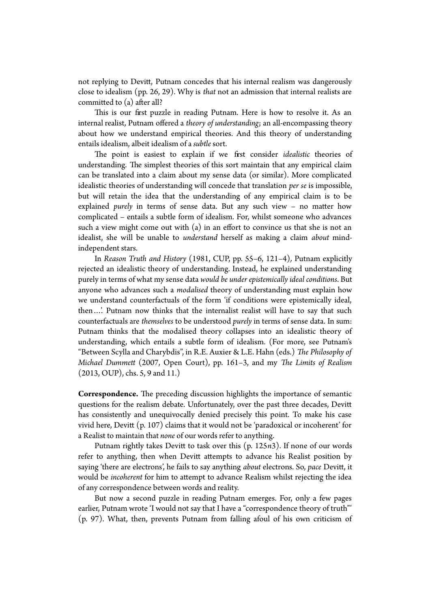not replying to Devit, Putnam concedes that his internal realism was dangerously close to idealism (pp. 26, 29). Why is *that* not an admission that internal realists are commited to (a) after all?

This is our first puzzle in reading Putnam. Here is how to resolve it. As an internal realist, Putnam offered a *theory of understanding*; an all-encompassing theory about how we understand empirical theories. And this theory of understanding entails idealism, albeit idealism of a *subtle* sort.

The point is easiest to explain if we first consider *idealistic* theories of understanding. The simplest theories of this sort maintain that any empirical claim can be translated into a claim about my sense data (or similar). More complicated idealistic theories of understanding will concede that translation *per se* is impossible, but will retain the idea that the understanding of any empirical claim is to be explained *purely* in terms of sense data. But any such view - no matter how complicated – entails a subtle form of idealism. For, whilst someone who advances such a view might come out with  $(a)$  in an effort to convince us that she is not an idealist, she will be unable to *understand* herself as making a claim *about* mindindependent stars.

In *Reason Truth and History* (1981, CUP, pp. 55–6, 121–4)*,* Putnam explicitly rejected an idealistic theory of understanding. Instead, he explained understanding purely in terms of what my sense data *would be under epistemically ideal conditions*. But anyone who advances such a *modalised* theory of understanding must explain how we understand counterfactuals of the form 'if conditions were epistemically ideal, then…'. Putnam now thinks that the internalist realist will have to say that such counterfactuals are *themselves* to be understood *purely* in terms of sense data. In sum: Putnam thinks that the modalised theory collapses into an idealistic theory of understanding, which entails a subtle form of idealism. (For more, see Putnam's "Between Scylla and Charybdis", in R.E. Auxier & L.E. Hahn (eds.) *The Philosophy of Michael Dummet* (2007, Open Court), pp. 161–3, and my *The Limits of Realism* (2013, OUP), chs. 5, 9 and 11.)

**Correspondence.** The preceding discussion highlights the importance of semantic questions for the realism debate. Unfortunately, over the past three decades, Devit has consistently and unequivocally denied precisely this point. To make his case vivid here, Devit (p. 107) claims that it would not be 'paradoxical or incoherent' for a Realist to maintain that *none* of our words refer to anything.

Putnam rightly takes Devit to task over this (p. 125*n*3). If none of our words refer to anything, then when Devitt attempts to advance his Realist position by saying 'there are electrons', he fails to say anything *about* electrons. So, *pace* Devit, it would be *incoherent* for him to atempt to advance Realism whilst rejecting the idea of any correspondence between words and reality.

But now a second puzzle in reading Putnam emerges. For, only a few pages earlier, Putnam wrote 'I would not say that I have a "correspondence theory of truth"' (p. 97). What, then, prevents Putnam from falling afoul of his own criticism of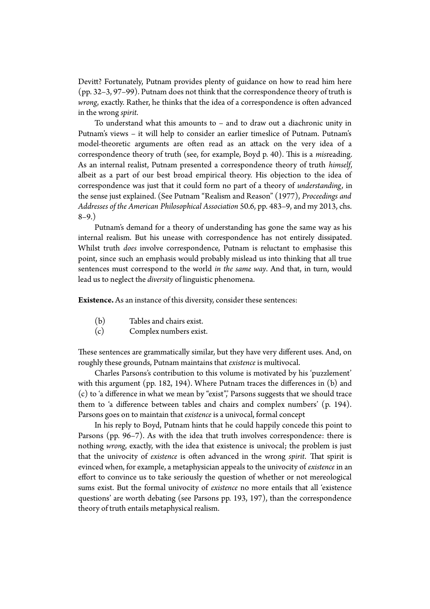Devit? Fortunately, Putnam provides plenty of guidance on how to read him here (pp. 32–3, 97–99). Putnam does not think that the correspondence theory of truth is *wrong*, exactly. Rather, he thinks that the idea of a correspondence is often advanced in the wrong *spirit*.

To understand what this amounts to – and to draw out a diachronic unity in Putnam's views – it will help to consider an earlier timeslice of Putnam. Putnam's model-theoretic arguments are often read as an atack on the very idea of a correspondence theory of truth (see, for example, Boyd p. 40). Tis is a *mis*reading. As an internal realist, Putnam presented a correspondence theory of truth *himself*, albeit as a part of our best broad empirical theory. His objection to the idea of correspondence was just that it could form no part of a theory of *understanding,* in the sense just explained. (See Putnam "Realism and Reason" (1977), *Proceedings and Addresses of the American Philosophical Association* 50.6, pp. 483–9, and my 2013, chs. 8–9.)

Putnam's demand for a theory of understanding has gone the same way as his internal realism. But his unease with correspondence has not entirely dissipated. Whilst truth *does* involve correspondence, Putnam is reluctant to emphasise this point, since such an emphasis would probably mislead us into thinking that all true sentences must correspond to the world *in the same way*. And that, in turn, would lead us to neglect the *diversity* of linguistic phenomena.

**Existence.** As an instance of this diversity, consider these sentences:

- (b) Tables and chairs exist.
- (c) Complex numbers exist.

These sentences are grammatically similar, but they have very different uses. And, on roughly these grounds, Putnam maintains that *existence* is multivocal.

Charles Parsons's contribution to this volume is motivated by his 'puzzlement' with this argument (pp. 182, 194). Where Putnam traces the diferences in (b) and (c) to 'a diference in what we mean by "exist",' Parsons suggests that we should trace them to 'a diference between tables and chairs and complex numbers' (p. 194). Parsons goes on to maintain that *existence* is a univocal, formal concept

In his reply to Boyd, Putnam hints that he could happily concede this point to Parsons (pp. 96–7). As with the idea that truth involves correspondence: there is nothing *wrong*, exactly, with the idea that existence is univocal; the problem is just that the univocity of *existence* is often advanced in the wrong *spirit*. Tat spirit is evinced when, for example, a metaphysician appeals to the univocity of *existence* in an efort to convince us to take seriously the question of whether or not mereological sums exist. But the formal univocity of *existence* no more entails that all 'existence questions' are worth debating (see Parsons pp. 193, 197), than the correspondence theory of truth entails metaphysical realism.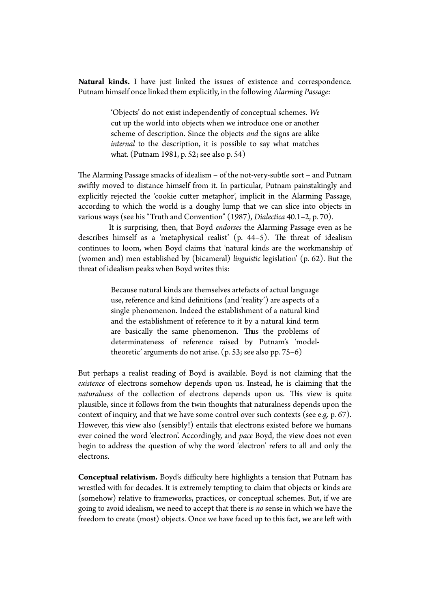**Natural kinds.** I have just linked the issues of existence and correspondence. Putnam himself once linked them explicitly, in the following *Alarming Passage*:

> 'Objects' do not exist independently of conceptual schemes. *We* cut up the world into objects when we introduce one or another scheme of description. Since the objects *and* the signs are alike *internal* to the description, it is possible to say what matches what. (Putnam 1981, p. 52; see also p. 54)

The Alarming Passage smacks of idealism  $-$  of the not-very-subtle sort  $-$  and Putnam swiftly moved to distance himself from it. In particular, Putnam painstakingly and explicitly rejected the 'cookie cuter metaphor', implicit in the Alarming Passage, according to which the world is a doughy lump that we can slice into objects in various ways (see his "Truth and Convention" (1987), *Dialectica* 40.1–2, p. 70).

It is surprising, then, that Boyd *endorses* the Alarming Passage even as he describes himself as a 'metaphysical realist' (p. 44-5). The threat of idealism continues to loom, when Boyd claims that 'natural kinds are the workmanship of (women and) men established by (bicameral) *linguistic* legislation' (p. 62). But the threat of idealism peaks when Boyd writes this:

> Because natural kinds are themselves artefacts of actual language use, reference and kind defnitions (and 'reality') are aspects of a single phenomenon. Indeed the establishment of a natural kind and the establishment of reference to it by a natural kind term are basically the same phenomenon. Thus the problems of determinateness of reference raised by Putnam's 'modeltheoretic' arguments do not arise. (p. 53; see also pp. 75–6)

But perhaps a realist reading of Boyd is available. Boyd is not claiming that the *existence* of electrons somehow depends upon us. Instead, he is claiming that the *naturalness* of the collection of electrons depends upon us. This view is quite plausible, since it follows from the twin thoughts that naturalness depends upon the context of inquiry, and that we have some control over such contexts (see e.g. p. 67). However, this view also (sensibly!) entails that electrons existed before we humans ever coined the word 'electron'. Accordingly, and *pace* Boyd, the view does not even begin to address the question of why the word 'electron' refers to all and only the electrons.

**Conceptual relativism.** Boyd's difficulty here highlights a tension that Putnam has wrestled with for decades. It is extremely tempting to claim that objects or kinds are (somehow) relative to frameworks, practices, or conceptual schemes. But, if we are going to avoid idealism, we need to accept that there is *no* sense in which we have the freedom to create (most) objects. Once we have faced up to this fact, we are left with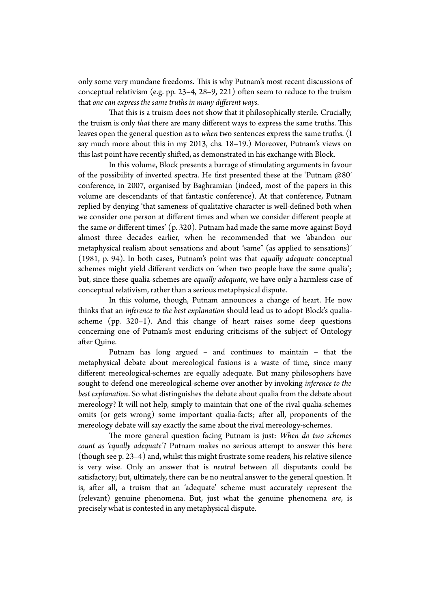only some very mundane freedoms. Tis is why Putnam's most recent discussions of conceptual relativism (e.g. pp. 23–4, 28–9, 221) often seem to reduce to the truism that *one can express the same truths in many different ways*.

That this is a truism does not show that it philosophically sterile. Crucially, the truism is only *that* there are many diferent ways to express the same truths. Tis leaves open the general question as to *when* two sentences express the same truths. (I say much more about this in my 2013, chs. 18–19.) Moreover, Putnam's views on this last point have recently shifted, as demonstrated in his exchange with Block.

In this volume, Block presents a barrage of stimulating arguments in favour of the possibility of inverted spectra. He frst presented these at the 'Putnam @80' conference, in 2007, organised by Baghramian (indeed, most of the papers in this volume are descendants of that fantastic conference). At that conference, Putnam replied by denying 'that sameness of qualitative character is well-defned both when we consider one person at diferent times and when we consider diferent people at the same *or* diferent times' (p. 320). Putnam had made the same move against Boyd almost three decades earlier, when he recommended that we 'abandon our metaphysical realism about sensations and about "same" (as applied to sensations)' (1981, p. 94). In both cases, Putnam's point was that *equally adequate* conceptual schemes might yield diferent verdicts on 'when two people have the same qualia'; but, since these qualia-schemes are *equally adequate*, we have only a harmless case of conceptual relativism, rather than a serious metaphysical dispute.

In this volume, though, Putnam announces a change of heart. He now thinks that an *inference to the best explanation* should lead us to adopt Block's qualiascheme (pp. 320–1). And this change of heart raises some deep questions concerning one of Putnam's most enduring criticisms of the subject of Ontology after Quine.

Putnam has long argued – and continues to maintain – that the metaphysical debate about mereological fusions is a waste of time, since many diferent mereological-schemes are equally adequate. But many philosophers have sought to defend one mereological-scheme over another by invoking *inference to the best explanation*. So what distinguishes the debate about qualia from the debate about mereology? It will not help, simply to maintain that one of the rival qualia-schemes omits (or gets wrong) some important qualia-facts; after all, proponents of the mereology debate will say exactly the same about the rival mereology-schemes.

The more general question facing Putnam is just: When do two schemes *count as 'equally adequate'?* Putnam makes no serious atempt to answer this here (though see p. 23–4) and, whilst this might frustrate some readers, his relative silence is very wise. Only an answer that is *neutral* between all disputants could be satisfactory; but, ultimately, there can be no neutral answer to the general question. It is, after all, a truism that an 'adequate' scheme must accurately represent the (relevant) genuine phenomena. But, just what the genuine phenomena *are*, is precisely what is contested in any metaphysical dispute.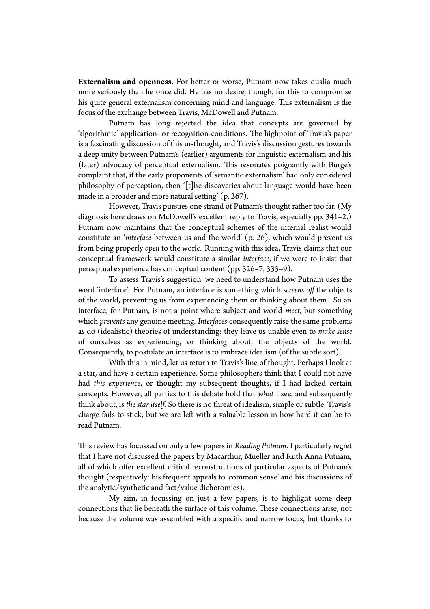**Externalism and openness.** For better or worse, Putnam now takes qualia much more seriously than he once did. He has no desire, though, for this to compromise his quite general externalism concerning mind and language. This externalism is the focus of the exchange between Travis, McDowell and Putnam.

Putnam has long rejected the idea that concepts are governed by 'algorithmic' application- or recognition-conditions. The highpoint of Travis's paper is a fascinating discussion of this ur-thought, and Travis's discussion gestures towards a deep unity between Putnam's (earlier) arguments for linguistic externalism and his (later) advocacy of perceptual externalism. This resonates poignantly with Burge's complaint that, if the early proponents of 'semantic externalism' had only considered philosophy of perception, then '[t]he discoveries about language would have been made in a broader and more natural seting' (p. 267).

However, Travis pursues one strand of Putnam's thought rather too far. (My diagnosis here draws on McDowell's excellent reply to Travis, especially pp. 341–2.) Putnam now maintains that the conceptual schemes of the internal realist would constitute an '*interface* between us and the world' (p. 26), which would prevent us from being properly *open* to the world. Running with this idea, Travis claims that our conceptual framework would constitute a similar *interface*, if we were to insist that perceptual experience has conceptual content (pp. 326–7, 335–9).

To assess Travis's suggestion, we need to understand how Putnam uses the word 'interface'. For Putnam, an interface is something which *screens off* the objects of the world, preventing us from experiencing them or thinking about them. So an interface, for Putnam, is not a point where subject and world *meet*, but something which *prevents* any genuine meeting. *Interfaces* consequently raise the same problems as do (idealistic) theories of understanding: they leave us unable even to *make sense* of ourselves as experiencing, or thinking about, the objects of the world. Consequently, to postulate an interface is to embrace idealism (of the subtle sort).

With this in mind, let us return to Travis's line of thought. Perhaps I look at a star, and have a certain experience. Some philosophers think that I could not have had *this experience*, or thought my subsequent thoughts, if I had lacked certain concepts. However, all parties to this debate hold that *what* I see, and subsequently think about, is *the star itself*. So there is no threat of idealism, simple or subtle. Travis's charge fails to stick, but we are left with a valuable lesson in how hard it can be to read Putnam.

This review has focussed on only a few papers in *Reading Putnam*. I particularly regret that I have not discussed the papers by Macarthur, Mueller and Ruth Anna Putnam, all of which ofer excellent critical reconstructions of particular aspects of Putnam's thought (respectively: his frequent appeals to 'common sense' and his discussions of the analytic/synthetic and fact/value dichotomies).

My aim, in focussing on just a few papers, is to highlight some deep connections that lie beneath the surface of this volume. These connections arise, not because the volume was assembled with a specifc and narrow focus, but thanks to